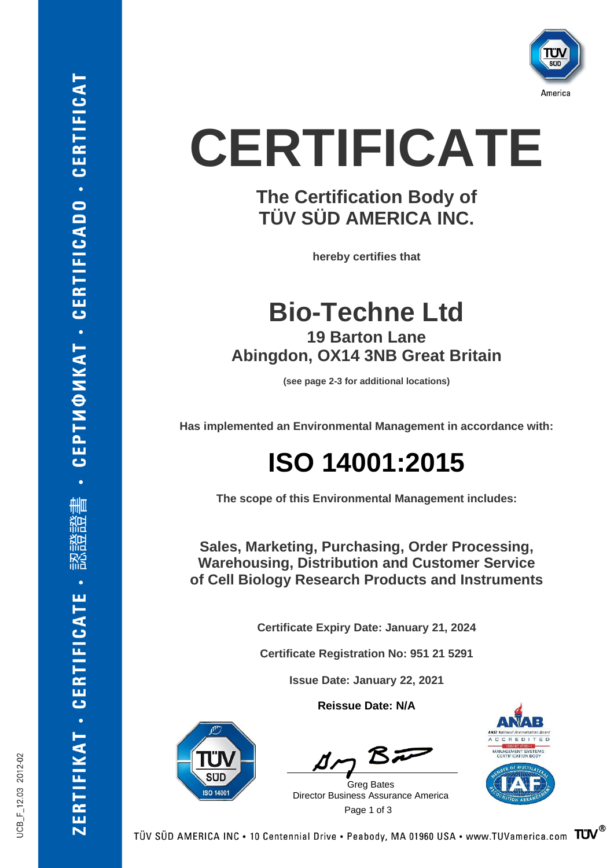

# **CERTIFICATE**

#### **The Certification Body of TÜV SÜD AMERICA INC.**

**hereby certifies that**

**Bio-Techne Ltd 19 Barton Lane Abingdon, OX14 3NB Great Britain**

**(see page 2-3 for additional locations)**

**Has implemented an Environmental Management in accordance with:**

### **ISO 14001:2015**

**The scope of this Environmental Management includes:**

**Sales, Marketing, Purchasing, Order Processing, Warehousing, Distribution and Customer Service of Cell Biology Research Products and Instruments**

**Certificate Expiry Date: January 21, 2024**

**Certificate Registration No: 951 21 5291**

**Issue Date: January 22, 2021**

**Reissue Date: N/A**



 Page 1 of 3 Greg Bates Director Business Assurance America



JCB\_F\_12.03 2012-02

ZERTIFIKAT - CERTIFICATE

**CEPTMOMKAT - CERTIFICADO - CERTIFICAT**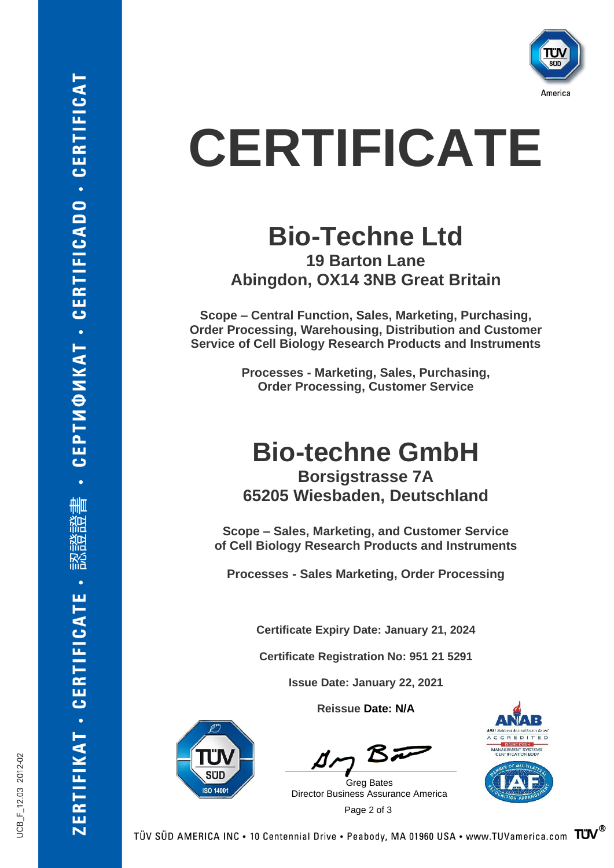

# **CERTIFICATE**

#### **Bio-Techne Ltd 19 Barton Lane Abingdon, OX14 3NB Great Britain**

**Scope – Central Function, Sales, Marketing, Purchasing, Order Processing, Warehousing, Distribution and Customer Service of Cell Biology Research Products and Instruments**

> **Processes - Marketing, Sales, Purchasing, Order Processing, Customer Service**

#### **Bio-techne GmbH Borsigstrasse 7A 65205 Wiesbaden, Deutschland**

**Scope – Sales, Marketing, and Customer Service of Cell Biology Research Products and Instruments**

**Processes - Sales Marketing, Order Processing**

**Certificate Expiry Date: January 21, 2024**

**Certificate Registration No: 951 21 5291**

**Issue Date: January 22, 2021**

**Reissue Date: N/A**

 Page 2 of 3 Greg Bates Director Business Assurance America

**SO 1400** 



JCB\_F\_12.03 2012-02